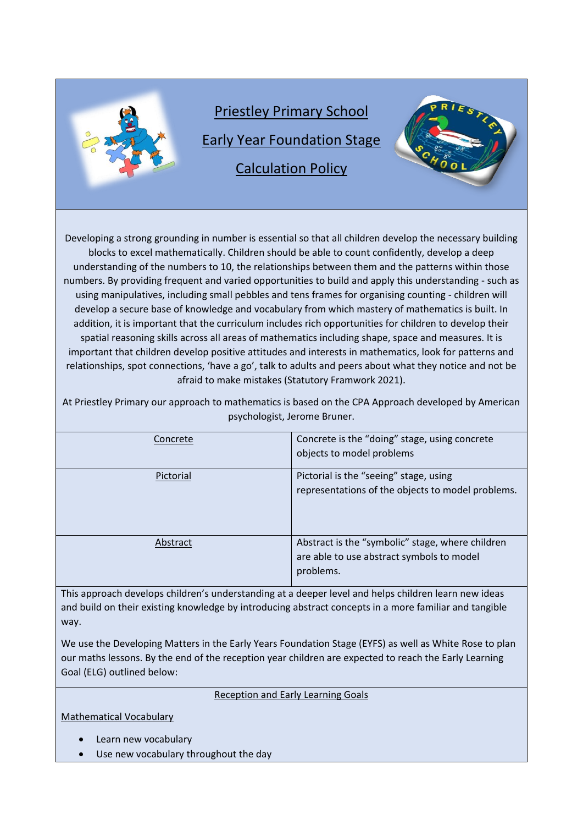

Developing a strong grounding in number is essential so that all children develop the necessary building blocks to excel mathematically. Children should be able to count confidently, develop a deep understanding of the numbers to 10, the relationships between them and the patterns within those numbers. By providing frequent and varied opportunities to build and apply this understanding - such as using manipulatives, including small pebbles and tens frames for organising counting - children will develop a secure base of knowledge and vocabulary from which mastery of mathematics is built. In addition, it is important that the curriculum includes rich opportunities for children to develop their spatial reasoning skills across all areas of mathematics including shape, space and measures. It is important that children develop positive attitudes and interests in mathematics, look for patterns and relationships, spot connections, 'have a go', talk to adults and peers about what they notice and not be afraid to make mistakes (Statutory Framwork 2021).

At Priestley Primary our approach to mathematics is based on the CPA Approach developed by American psychologist, Jerome Bruner.

| Concrete  | Concrete is the "doing" stage, using concrete<br>objects to model problems                                 |
|-----------|------------------------------------------------------------------------------------------------------------|
| Pictorial | Pictorial is the "seeing" stage, using<br>representations of the objects to model problems.                |
| Abstract  | Abstract is the "symbolic" stage, where children<br>are able to use abstract symbols to model<br>problems. |

This approach develops children's understanding at a deeper level and helps children learn new ideas and build on their existing knowledge by introducing abstract concepts in a more familiar and tangible way.

We use the Developing Matters in the Early Years Foundation Stage (EYFS) as well as White Rose to plan our maths lessons. By the end of the reception year children are expected to reach the Early Learning Goal (ELG) outlined below:

#### Reception and Early Learning Goals

Mathematical Vocabulary

- Learn new vocabulary
- Use new vocabulary throughout the day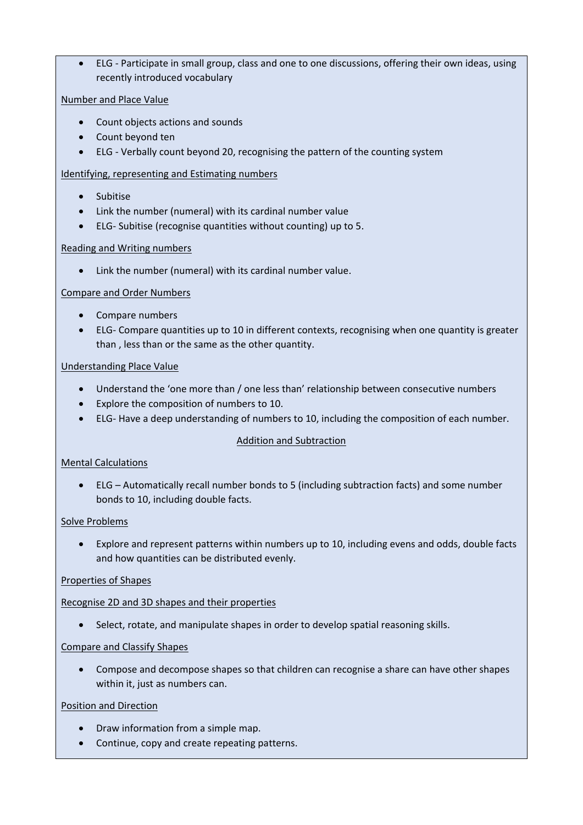• ELG - Participate in small group, class and one to one discussions, offering their own ideas, using recently introduced vocabulary

#### Number and Place Value

- Count objects actions and sounds
- Count beyond ten
- ELG Verbally count beyond 20, recognising the pattern of the counting system

#### Identifying, representing and Estimating numbers

- Subitise
- Link the number (numeral) with its cardinal number value
- ELG- Subitise (recognise quantities without counting) up to 5.

#### Reading and Writing numbers

• Link the number (numeral) with its cardinal number value.

#### Compare and Order Numbers

- Compare numbers
- ELG- Compare quantities up to 10 in different contexts, recognising when one quantity is greater than , less than or the same as the other quantity.

# Understanding Place Value

- Understand the 'one more than / one less than' relationship between consecutive numbers
- Explore the composition of numbers to 10.
- ELG- Have a deep understanding of numbers to 10, including the composition of each number.

#### Addition and Subtraction

#### Mental Calculations

• ELG – Automatically recall number bonds to 5 (including subtraction facts) and some number bonds to 10, including double facts.

#### Solve Problems

• Explore and represent patterns within numbers up to 10, including evens and odds, double facts and how quantities can be distributed evenly.

#### Properties of Shapes

#### Recognise 2D and 3D shapes and their properties

• Select, rotate, and manipulate shapes in order to develop spatial reasoning skills.

# Compare and Classify Shapes

• Compose and decompose shapes so that children can recognise a share can have other shapes within it, just as numbers can.

#### Position and Direction

- Draw information from a simple map.
- Continue, copy and create repeating patterns.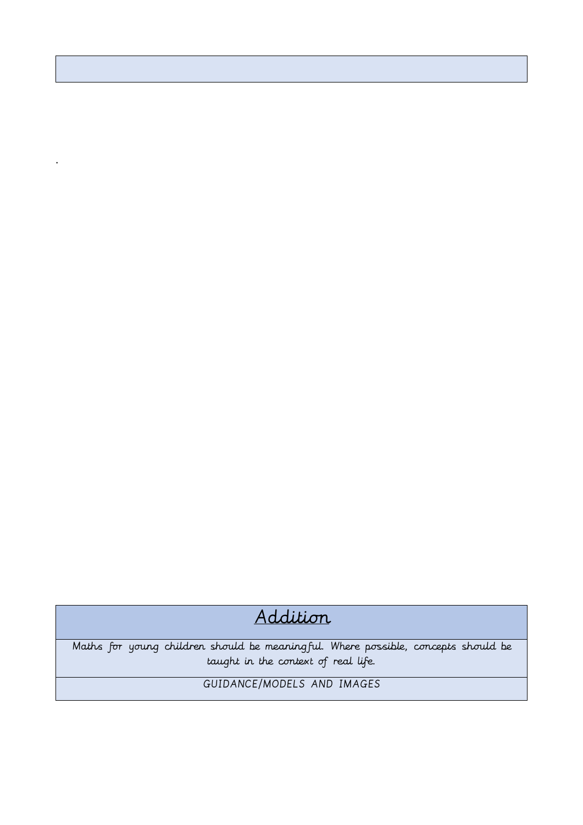# Addition

Maths for young children should be meaningful. Where possible, concepts should be taught in the context of real life.

GUIDANCE/MODELS AND IMAGES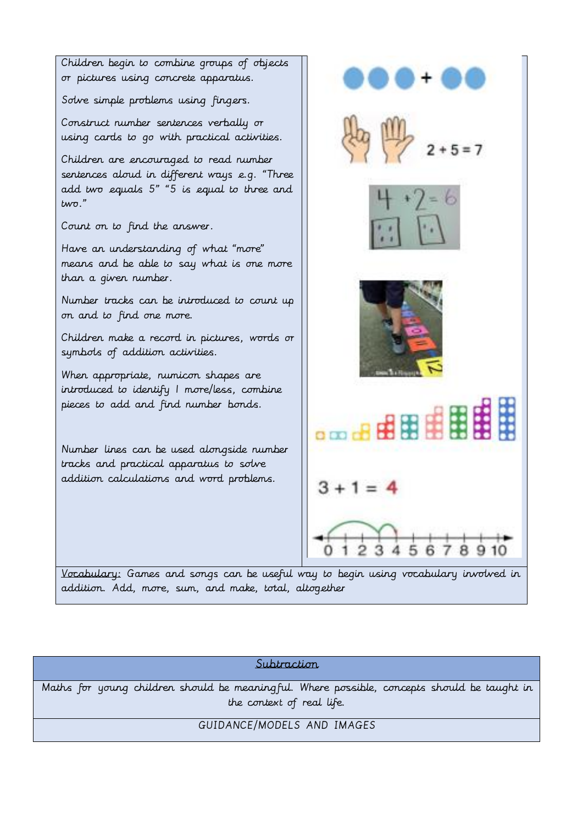

# Subtraction

Maths for young children should be meaningful. Where possible, concepts should be taught in the context of real life.

#### GUIDANCE/MODELS AND IMAGES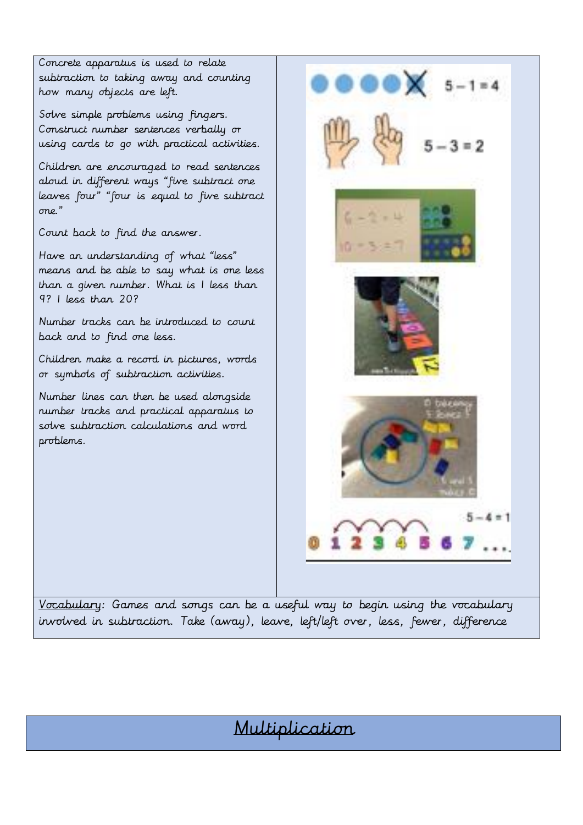Concrete apparatus is used to relate subtraction to taking away and counting how many objects are left.

Solve simple problems using fingers. Construct number sentences verbally or using cards to go with practical activities.

Children are encouraged to read sentences aloud in different ways "five subtract one leaves four" "four is equal to five subtract one."

Count back to find the answer.

Have an understanding of what "less" means and be able to say what is one less than a given number. What is 1 less than 9? 1 less than 20?

Number tracks can be introduced to count back and to find one less.

Children make a record in pictures, words or symbols of subtraction activities.

Number lines can then be used alongside number tracks and practical apparatus to solve subtraction calculations and word problems.



involved in subtraction. Take (away), leave, left/left over, less, fewer, difference

# Multiplication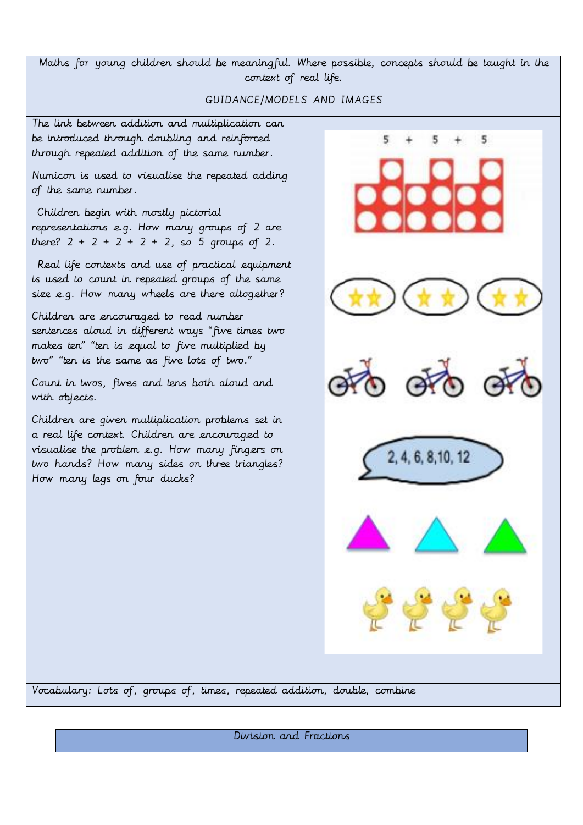Maths for young children should be meaningful. Where possible, concepts should be taught in the context of real life.

# GUIDANCE/MODELS AND IMAGES

5

2, 4, 6, 8, 10, 12

5

The link between addition and multiplication can be introduced through doubling and reinforced through repeated addition of the same number.

Numicon is used to visualise the repeated adding of the same number.

Children begin with mostly pictorial representations e.g. How many groups of 2 are there?  $2 + 2 + 2 + 2 + 2$ , so 5 groups of 2.

Real life contexts and use of practical equipment is used to count in repeated groups of the same size e.g. How many wheels are there altogether?

Children are encouraged to read number sentences aloud in different ways "five times two makes ten" "ten is equal to five multiplied by two" "ten is the same as five lots of two."

Count in twos, fives and tens both aloud and with objects.

Children are given multiplication problems set in a real life context. Children are encouraged to visualise the problem e.g. How many fingers on two hands? How many sides on three triangles? How many legs on four ducks?

Vocabulary: Lots of, groups of, times, repeated addition, double, combine

Division and Fractions